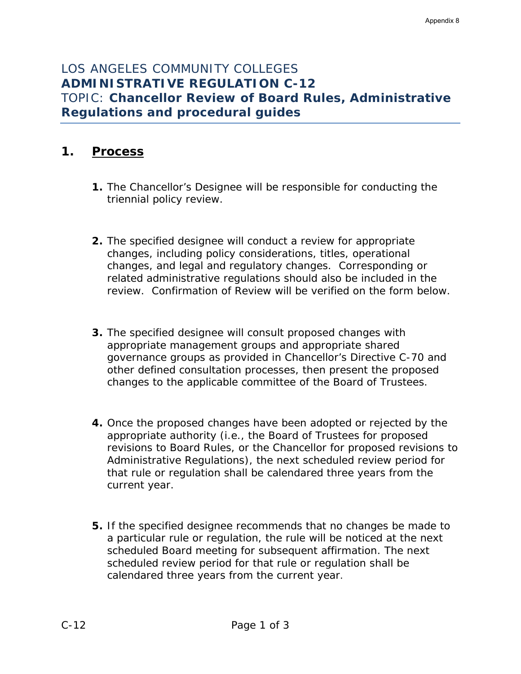# LOS ANGELES COMMUNITY COLLEGES **ADMINISTRATIVE REGULATION C-12**  TOPIC: **Chancellor Review of Board Rules, Administrative Regulations and procedural guides**

## **1. Process**

- **1.** The Chancellor's Designee will be responsible for conducting the triennial policy review.
- **2.** The specified designee will conduct a review for appropriate changes, including policy considerations, titles, operational changes, and legal and regulatory changes. Corresponding or related administrative regulations should also be included in the review. Confirmation of Review will be verified on the form below.
- **3.** The specified designee will consult proposed changes with appropriate management groups and appropriate shared governance groups as provided in Chancellor's Directive C-70 and other defined consultation processes, then present the proposed changes to the applicable committee of the Board of Trustees.
- **4.** Once the proposed changes have been adopted or rejected by the appropriate authority (i.e., the Board of Trustees for proposed revisions to Board Rules, or the Chancellor for proposed revisions to Administrative Regulations), the next scheduled review period for that rule or regulation shall be calendared three years from the current year.
- **5.** If the specified designee recommends that no changes be made to a particular rule or regulation, the rule will be noticed at the next scheduled Board meeting for subsequent affirmation. The next scheduled review period for that rule or regulation shall be calendared three years from the current year.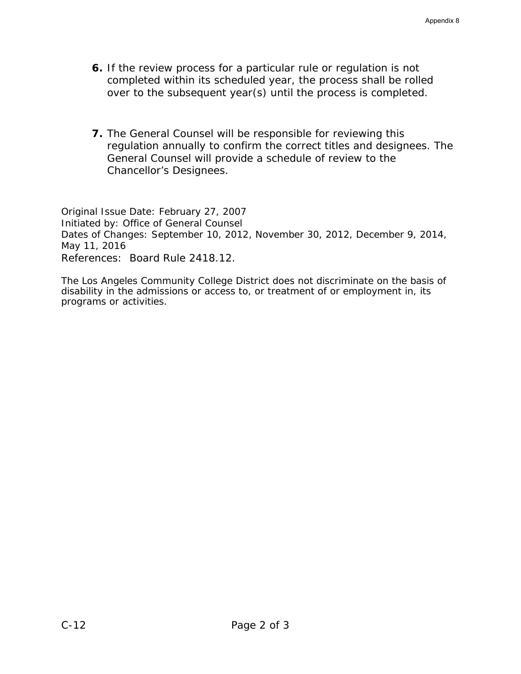- **6.** If the review process for a particular rule or regulation is not completed within its scheduled year, the process shall be rolled over to the subsequent year(s) until the process is completed.
- **7.** The General Counsel will be responsible for reviewing this regulation annually to confirm the correct titles and designees. The General Counsel will provide a schedule of review to the Chancellor's Designees.

*Original Issue Date: February 27, 2007 Initiated by: Office of General Counsel Dates of Changes: September 10, 2012, November 30, 2012, December 9, 2014, May 11, 2016 References: Board Rule 2418.12.*

The Los Angeles Community College District does not discriminate on the basis of disability in the admissions or access to, or treatment of or employment in, its programs or activities.